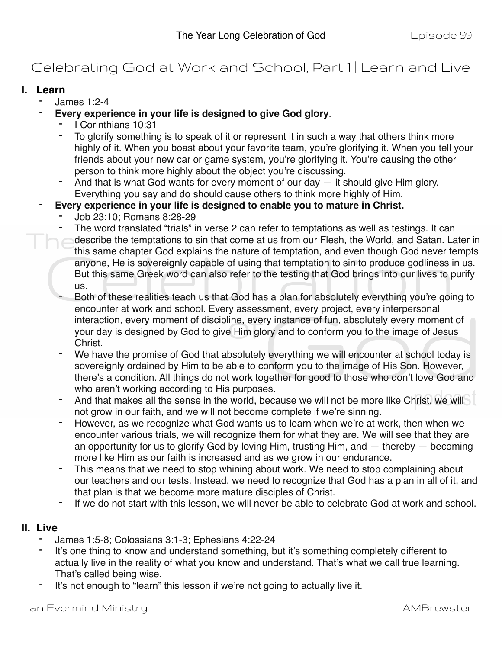## Celebrating God at Work and School, Part I | Learn and Live

## **I. Learn**

- James 1:2-4
- **Every experience in your life is designed to give God glory**.
	- I Corinthians 10:31
	- To glorify something is to speak of it or represent it in such a way that others think more highly of it. When you boast about your favorite team, you're glorifying it. When you tell your friends about your new car or game system, you're glorifying it. You're causing the other person to think more highly about the object you're discussing.
	- And that is what God wants for every moment of our day  $-$  it should give Him glory. Everything you say and do should cause others to think more highly of Him.
- Every experience in your life is designed to enable you to mature in Christ.
	- Job 23:10; Romans 8:28-29
	- The word translated "trials" in verse 2 can refer to temptations as well as testings. It can
	- describe the temptations to sin that come at us from our Flesh, the World, and Satan. Later in this same chapter God explains the nature of temptation, and even though God never tempts anyone, He is sovereignly capable of using that temptation to sin to produce godliness in us. But this same Greek word can also refer to the testing that God brings into our lives to purify us.
	- Both of these realities teach us that God has a plan for absolutely everything you're going to encounter at work and school. Every assessment, every project, every interpersonal interaction, every moment of discipline, every instance of fun, absolutely every moment of your day is designed by God to give Him glory and to conform you to the image of Jesus Christ.
	- We have the promise of God that absolutely everything we will encounter at school today is sovereignly ordained by Him to be able to conform you to the image of His Son. However, there's a condition. All things do not work together for good to those who don't love God and who aren't working according to His purposes.
	- And that makes all the sense in the world, because we will not be more like Christ, we will not grow in our faith, and we will not become complete if we're sinning.
	- However, as we recognize what God wants us to learn when we're at work, then when we encounter various trials, we will recognize them for what they are. We will see that they are an opportunity for us to glorify God by loving Him, trusting Him, and — thereby — becoming more like Him as our faith is increased and as we grow in our endurance.
	- This means that we need to stop whining about work. We need to stop complaining about our teachers and our tests. Instead, we need to recognize that God has a plan in all of it, and that plan is that we become more mature disciples of Christ.
	- If we do not start with this lesson, we will never be able to celebrate God at work and school.

## **II. Live**

- James 1:5-8; Colossians 3:1-3; Ephesians 4:22-24
- It's one thing to know and understand something, but it's something completely different to actually live in the reality of what you know and understand. That's what we call true learning. That's called being wise.
- It's not enough to "learn" this lesson if we're not going to actually live it.